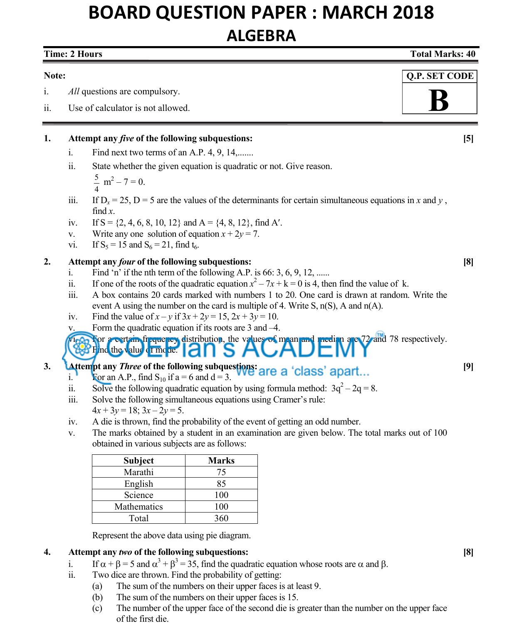# **BOARD QUESTION PAPER : MARCH 2018 ALGEBRA**

## **Note:** i. *All* questions are compulsory. ii. Use of calculator is not allowed. **1. Attempt any** *five* **of the following subquestions: [5]**  i. Find next two terms of an A.P.  $4, 9, 14, \ldots$  ii. State whether the given equation is quadratic or not. Give reason. 5  $\frac{5}{4}$  m<sup>2</sup> – 7 = 0. iii. If  $D_x = 25$ ,  $D = 5$  are the values of the determinants for certain simultaneous equations in *x* and *y*, find *x*. iv. If  $S = \{2, 4, 6, 8, 10, 12\}$  and  $A = \{4, 8, 12\}$ , find A'. v. Write any one solution of equation  $x + 2y = 7$ . vi. If  $S_5 = 15$  and  $S_6 = 21$ , find  $t_6$ . **2. Attempt any** *four* **of the following subquestions: [8]**  i. Find 'n' if the nth term of the following A.P. is 66:  $3, 6, 9, 12, \dots$ ii. If one of the roots of the quadratic equation  $x^2 - 7x + k = 0$  is 4, then find the value of k. iii. A box contains 20 cards marked with numbers 1 to 20. One card is drawn at random. Write the event A using the number on the card is multiple of 4. Write S, n(S), A and n(A). iv. Find the value of  $x - y$  if  $3x + 2y = 15$ ,  $2x + 3y = 10$ .  **Q.P. SET CODE B**

v. Form the quadratic equation if its roots are 3 and –4.

### $\sqrt{v_1^2}$ . For a certain frequency distribution, the values of mean and median are 72 and 78 respectively. Find the value c I mode.

# **3. Attempt any** *Three* of the following subquestions: **and a**  'closes' apart [9]

- i. For an A.P., find  $S_{10}$  if  $a = 6$  and  $d = 3$ .
- ii. Solve the following quadratic equation by using formula method:  $3q^2 2q = 8$ .
	- iii. Solve the following simultaneous equations using Cramer's rule:
	- $4x + 3y = 18$ ;  $3x 2y = 5$ .

j

- iv. A die is thrown, find the probability of the event of getting an odd number.
- v. The marks obtained by a student in an examination are given below. The total marks out of 100 obtained in various subjects are as follows:

| Subject     | Marks |
|-------------|-------|
| Marathi     | 75    |
| English     | 85    |
| Science     | 100   |
| Mathematics | 100   |
| Total       | 360   |
|             |       |

Represent the above data using pie diagram.

## **4. Attempt any** *two* **of the following subquestions: [8]**

- i. If  $\alpha + \beta = 5$  and  $\alpha^3 + \beta^3 = 35$ , find the quadratic equation whose roots are  $\alpha$  and  $\beta$ .
	- ii. Two dice are thrown. Find the probability of getting:
		- (a) The sum of the numbers on their upper faces is at least 9.
		- (b) The sum of the numbers on their upper faces is 15.
		- (c) The number of the upper face of the second die is greater than the number on the upper face of the first die.

## **Time: 2 Hours Total Marks: 40 and 2 Hours Control of the Control of the Control of Total Marks: 40 and 2 Hours Control of the Control of the Control of the Control of the Control of the Control of the Control of the Contr**